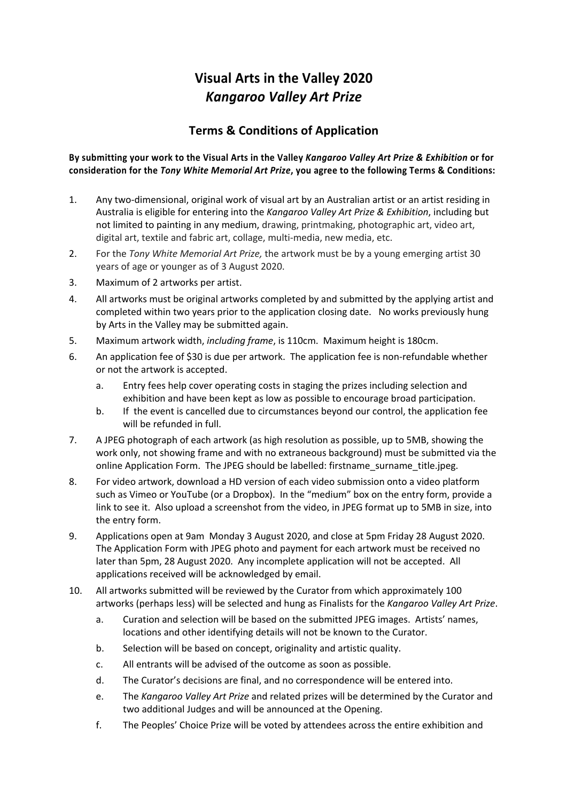## **Visual Arts in the Valley 2020** *Kangaroo Valley Art Prize*

## **Terms & Conditions of Application**

## **By submitting your work to the Visual Arts in the Valley** *Kangaroo Valley Art Prize & Exhibition* **or for consideration for the** *Tony White Memorial Art Prize***, you agree to the following Terms & Conditions:**

- 1. Any two-dimensional, original work of visual art by an Australian artist or an artist residing in Australia is eligible for entering into the *Kangaroo Valley Art Prize & Exhibition*, including but not limited to painting in any medium, drawing, printmaking, photographic art, video art, digital art, textile and fabric art, collage, multi-media, new media, etc.
- 2. For the *Tony White Memorial Art Prize,* the artwork must be by a young emerging artist 30 years of age or younger as of 3 August 2020.
- 3. Maximum of 2 artworks per artist.
- 4. All artworks must be original artworks completed by and submitted by the applying artist and completed within two years prior to the application closing date. No works previously hung by Arts in the Valley may be submitted again.
- 5. Maximum artwork width, *including frame*, is 110cm. Maximum height is 180cm.
- 6. An application fee of \$30 is due per artwork. The application fee is non-refundable whether or not the artwork is accepted.
	- a. Entry fees help cover operating costs in staging the prizes including selection and exhibition and have been kept as low as possible to encourage broad participation.
	- b. If the event is cancelled due to circumstances beyond our control, the application fee will be refunded in full.
- 7. A JPEG photograph of each artwork (as high resolution as possible, up to 5MB, showing the work only, not showing frame and with no extraneous background) must be submitted via the online Application Form. The JPEG should be labelled: firstname\_surname\_title.jpeg.
- 8. For video artwork, download a HD version of each video submission onto a video platform such as Vimeo or YouTube (or a Dropbox). In the "medium" box on the entry form, provide a link to see it. Also upload a screenshot from the video, in JPEG format up to 5MB in size, into the entry form.
- 9. Applications open at 9am Monday 3 August 2020, and close at 5pm Friday 28 August 2020. The Application Form with JPEG photo and payment for each artwork must be received no later than 5pm, 28 August 2020. Any incomplete application will not be accepted. All applications received will be acknowledged by email.
- 10. All artworks submitted will be reviewed by the Curator from which approximately 100 artworks (perhaps less) will be selected and hung as Finalists for the *Kangaroo Valley Art Prize*.
	- a. Curation and selection will be based on the submitted JPEG images. Artists' names, locations and other identifying details will not be known to the Curator.
	- b. Selection will be based on concept, originality and artistic quality.
	- c. All entrants will be advised of the outcome as soon as possible.
	- d. The Curator's decisions are final, and no correspondence will be entered into.
	- e. The *Kangaroo Valley Art Prize* and related prizes will be determined by the Curator and two additional Judges and will be announced at the Opening.
	- f. The Peoples' Choice Prize will be voted by attendees across the entire exhibition and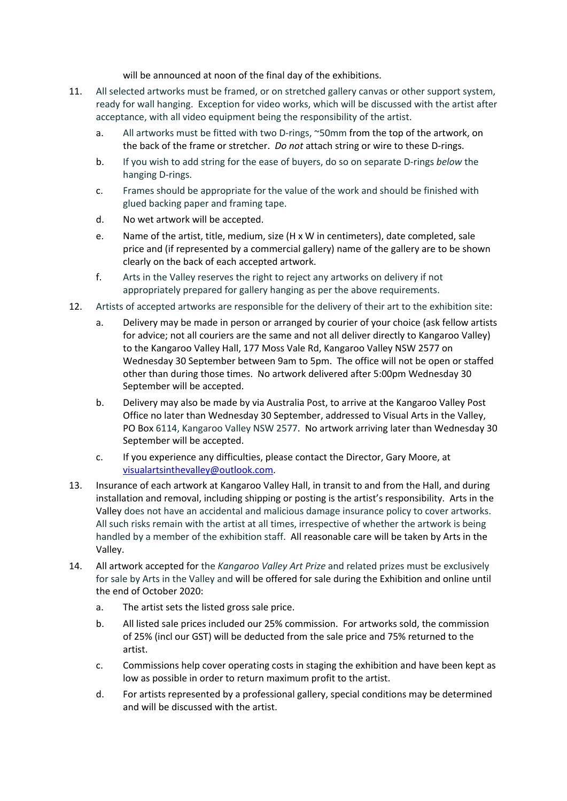will be announced at noon of the final day of the exhibitions.

- 11. All selected artworks must be framed, or on stretched gallery canvas or other support system, ready for wall hanging. Exception for video works, which will be discussed with the artist after acceptance, with all video equipment being the responsibility of the artist.
	- a. All artworks must be fitted with two D-rings, ~50mm from the top of the artwork, on the back of the frame or stretcher. *Do not* attach string or wire to these D-rings.
	- b. If you wish to add string for the ease of buyers, do so on separate D-rings *below* the hanging D-rings.
	- c. Frames should be appropriate for the value of the work and should be finished with glued backing paper and framing tape.
	- d. No wet artwork will be accepted.
	- e. Name of the artist, title, medium, size (H x W in centimeters), date completed, sale price and (if represented by a commercial gallery) name of the gallery are to be shown clearly on the back of each accepted artwork.
	- f. Arts in the Valley reserves the right to reject any artworks on delivery if not appropriately prepared for gallery hanging as per the above requirements.
- 12. Artists of accepted artworks are responsible for the delivery of their art to the exhibition site:
	- a. Delivery may be made in person or arranged by courier of your choice (ask fellow artists for advice; not all couriers are the same and not all deliver directly to Kangaroo Valley) to the Kangaroo Valley Hall, 177 Moss Vale Rd, Kangaroo Valley NSW 2577 on Wednesday 30 September between 9am to 5pm. The office will not be open or staffed other than during those times. No artwork delivered after 5:00pm Wednesday 30 September will be accepted.
	- b. Delivery may also be made by via Australia Post, to arrive at the Kangaroo Valley Post Office no later than Wednesday 30 September, addressed to Visual Arts in the Valley, PO Box 6114, Kangaroo Valley NSW 2577. No artwork arriving later than Wednesday 30 September will be accepted.
	- c. If you experience any difficulties, please contact the Director, Gary Moore, at visualartsinthevalley@outlook.com.
- 13. Insurance of each artwork at Kangaroo Valley Hall, in transit to and from the Hall, and during installation and removal, including shipping or posting is the artist's responsibility. Arts in the Valley does not have an accidental and malicious damage insurance policy to cover artworks. All such risks remain with the artist at all times, irrespective of whether the artwork is being handled by a member of the exhibition staff. All reasonable care will be taken by Arts in the Valley.
- 14. All artwork accepted for the *Kangaroo Valley Art Prize* and related prizes must be exclusively for sale by Arts in the Valley and will be offered for sale during the Exhibition and online until the end of October 2020:
	- a. The artist sets the listed gross sale price.
	- b. All listed sale prices included our 25% commission. For artworks sold, the commission of 25% (incl our GST) will be deducted from the sale price and 75% returned to the artist.
	- c. Commissions help cover operating costs in staging the exhibition and have been kept as low as possible in order to return maximum profit to the artist.
	- d. For artists represented by a professional gallery, special conditions may be determined and will be discussed with the artist.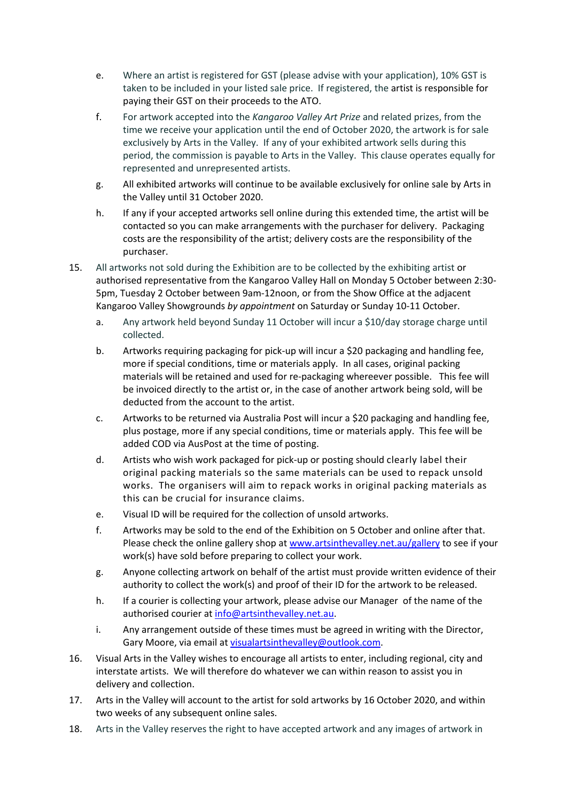- e. Where an artist is registered for GST (please advise with your application), 10% GST is taken to be included in your listed sale price. If registered, the artist is responsible for paying their GST on their proceeds to the ATO.
- f. For artwork accepted into the *Kangaroo Valley Art Prize* and related prizes, from the time we receive your application until the end of October 2020, the artwork is for sale exclusively by Arts in the Valley. If any of your exhibited artwork sells during this period, the commission is payable to Arts in the Valley. This clause operates equally for represented and unrepresented artists.
- g. All exhibited artworks will continue to be available exclusively for online sale by Arts in the Valley until 31 October 2020.
- h. If any if your accepted artworks sell online during this extended time, the artist will be contacted so you can make arrangements with the purchaser for delivery. Packaging costs are the responsibility of the artist; delivery costs are the responsibility of the purchaser.
- 15. All artworks not sold during the Exhibition are to be collected by the exhibiting artist or authorised representative from the Kangaroo Valley Hall on Monday 5 October between 2:30- 5pm, Tuesday 2 October between 9am-12noon, or from the Show Office at the adjacent Kangaroo Valley Showgrounds *by appointment* on Saturday or Sunday 10-11 October.
	- a. Any artwork held beyond Sunday 11 October will incur a \$10/day storage charge until collected.
	- b. Artworks requiring packaging for pick-up will incur a \$20 packaging and handling fee, more if special conditions, time or materials apply. In all cases, original packing materials will be retained and used for re-packaging whereever possible. This fee will be invoiced directly to the artist or, in the case of another artwork being sold, will be deducted from the account to the artist.
	- c. Artworks to be returned via Australia Post will incur a \$20 packaging and handling fee, plus postage, more if any special conditions, time or materials apply. This fee will be added COD via AusPost at the time of posting.
	- d. Artists who wish work packaged for pick-up or posting should clearly label their original packing materials so the same materials can be used to repack unsold works. The organisers will aim to repack works in original packing materials as this can be crucial for insurance claims.
	- e. Visual ID will be required for the collection of unsold artworks.
	- f. Artworks may be sold to the end of the Exhibition on 5 October and online after that. Please check the online gallery shop at www.artsinthevalley.net.au/gallery to see if your work(s) have sold before preparing to collect your work.
	- g. Anyone collecting artwork on behalf of the artist must provide written evidence of their authority to collect the work(s) and proof of their ID for the artwork to be released.
	- h. If a courier is collecting your artwork, please advise our Manager of the name of the authorised courier at info@artsinthevalley.net.au.
	- i. Any arrangement outside of these times must be agreed in writing with the Director, Gary Moore, via email at visualartsinthevalley@outlook.com.
- 16. Visual Arts in the Valley wishes to encourage all artists to enter, including regional, city and interstate artists. We will therefore do whatever we can within reason to assist you in delivery and collection.
- 17. Arts in the Valley will account to the artist for sold artworks by 16 October 2020, and within two weeks of any subsequent online sales.
- 18. Arts in the Valley reserves the right to have accepted artwork and any images of artwork in